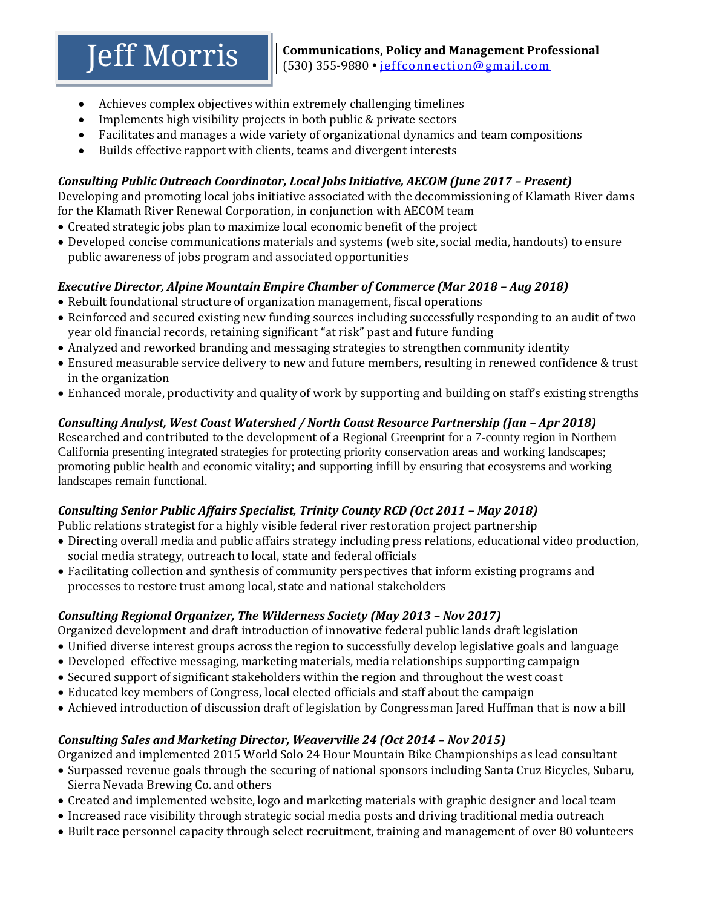- Achieves complex objectives within extremely challenging timelines
- Implements high visibility projects in both public & private sectors
- Facilitates and manages a wide variety of organizational dynamics and team compositions
- Builds effective rapport with clients, teams and divergent interests

## *Consulting Public Outreach Coordinator, Local Jobs Initiative, AECOM (June 2017 - Present)*

Developing and promoting local jobs initiative associated with the decommissioning of Klamath River dams for the Klamath River Renewal Corporation, in conjunction with AECOM team

- Created strategic jobs plan to maximize local economic benefit of the project
- Developed concise communications materials and systems (web site, social media, handouts) to ensure public awareness of jobs program and associated opportunities

## *Executive Director, Alpine Mountain Empire Chamber of Commerce (Mar 2018 – Aug 2018)*

- Rebuilt foundational structure of organization management, fiscal operations
- Reinforced and secured existing new funding sources including successfully responding to an audit of two year old financial records, retaining significant "at risk" past and future funding
- Analyzed and reworked branding and messaging strategies to strengthen community identity
- Ensured measurable service delivery to new and future members, resulting in renewed confidence & trust in the organization
- Enhanced morale, productivity and quality of work by supporting and building on staff's existing strengths

## *Consulting Analyst, West Coast Watershed / North Coast Resource Partnership (Jan – Apr 2018)*

Researched and contributed to the development of a Regional Greenprint for a 7-county region in Northern California presenting integrated strategies for protecting priority conservation areas and working landscapes; promoting public health and economic vitality; and supporting infill by ensuring that ecosystems and working landscapes remain functional.

## *Consulting Senior Public Affairs Specialist, Trinity County RCD (Oct 2011 - May 2018)*

Public relations strategist for a highly visible federal river restoration project partnership

- Directing overall media and public affairs strategy including press relations, educational video production, social media strategy, outreach to local, state and federal officials
- Facilitating collection and synthesis of community perspectives that inform existing programs and processes to restore trust among local, state and national stakeholders

# *Consulting Regional Organizer, The Wilderness Society (May 2013 – Nov 2017)*

Organized development and draft introduction of innovative federal public lands draft legislation

- Unified diverse interest groups across the region to successfully develop legislative goals and language
- Developed effective messaging, marketing materials, media relationships supporting campaign
- Secured support of significant stakeholders within the region and throughout the west coast
- Educated key members of Congress, local elected officials and staff about the campaign
- Achieved introduction of discussion draft of legislation by Congressman Jared Huffman that is now a bill

## *Consulting Sales and Marketing Director, Weaverville 24 (Oct 2014 – Nov 2015)*

Organized and implemented 2015 World Solo 24 Hour Mountain Bike Championships as lead consultant

- Surpassed revenue goals through the securing of national sponsors including Santa Cruz Bicycles, Subaru, Sierra Nevada Brewing Co. and others
- Created and implemented website, logo and marketing materials with graphic designer and local team
- Increased race visibility through strategic social media posts and driving traditional media outreach
- Built race personnel capacity through select recruitment, training and management of over 80 volunteers